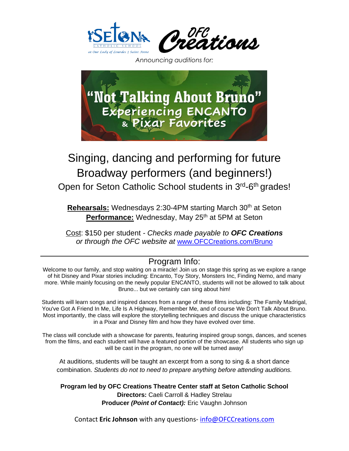



*Announcing auditions for:*



## Singing, dancing and performing for future Broadway performers (and beginners!)

Open for Seton Catholic School students in 3<sup>rd</sup>-6<sup>th</sup> grades!

**Rehearsals:** Wednesdays 2:30-4PM starting March 30<sup>th</sup> at Seton **Performance:** Wednesday, May 25<sup>th</sup> at 5PM at Seton

Cost: \$150 per student *- Checks made payable to OFC Creations or through the OFC website at* [www.OFCCreations.com/Bruno](http://www.ofccreations.com/Bruno)

## Program Info:

Welcome to our family, and stop waiting on a miracle! Join us on stage this spring as we explore a range of hit Disney and Pixar stories including: Encanto, Toy Story, Monsters Inc, Finding Nemo, and many more. While mainly focusing on the newly popular ENCANTO, students will not be allowed to talk about Bruno... but we certainly can sing about him!

Students will learn songs and inspired dances from a range of these films including: The Family Madrigal, You've Got A Friend In Me, Life Is A Highway, Remember Me, and of course We Don't Talk About Bruno. Most importantly, the class will explore the storytelling techniques and discuss the unique characteristics in a Pixar and Disney film and how they have evolved over time.

The class will conclude with a showcase for parents, featuring inspired group songs, dances, and scenes from the films, and each student will have a featured portion of the showcase. All students who sign up will be cast in the program, no one will be turned away!

At auditions, students will be taught an excerpt from a song to sing & a short dance combination. *Students do not to need to prepare anything before attending auditions.*

**Program led by OFC Creations Theatre Center staff at Seton Catholic School Directors:** Caeli Carroll & Hadley Strelau **Producer** *(Point of Contact):* Eric Vaughn Johnson

Contact **Eric Johnson** with any questions- [info@OFCCreations.com](mailto:info@OFCCreations.com)